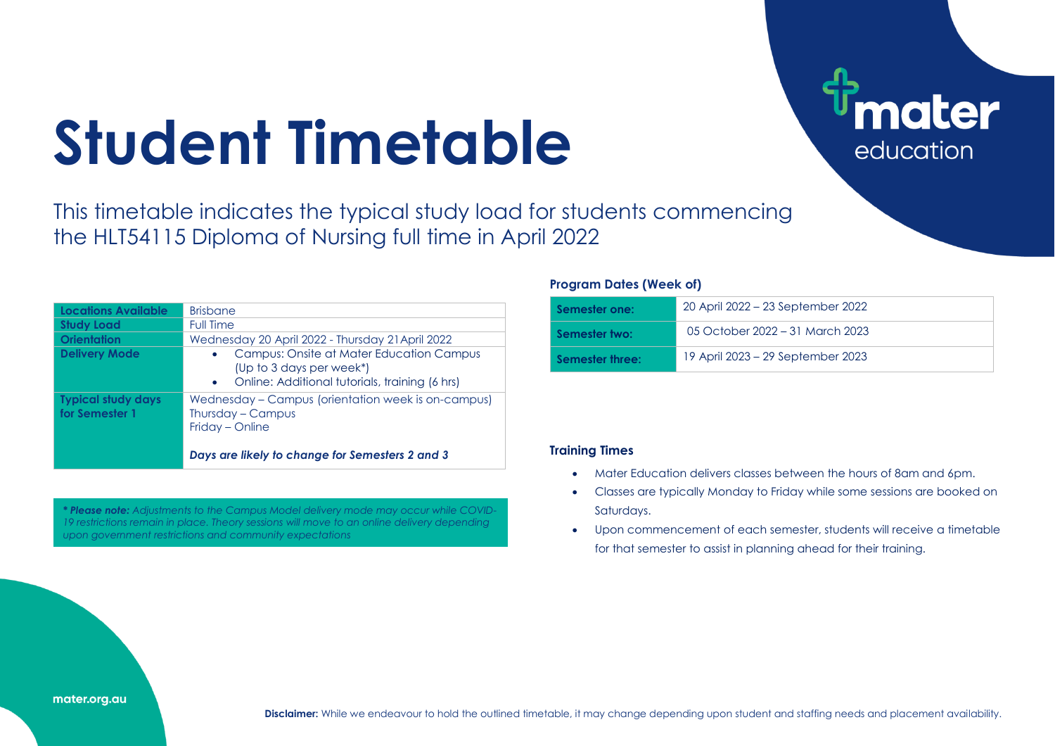## **Student Timetable**

This timetable indicates the typical study load for students commencing the HLT54115 Diploma of Nursing full time in April 2022

| <b>Locations Available</b>                  | <b>Brisbane</b>                                                                                                                                  |
|---------------------------------------------|--------------------------------------------------------------------------------------------------------------------------------------------------|
| <b>Study Load</b>                           | <b>Full Time</b>                                                                                                                                 |
| <b>Orientation</b>                          | Wednesday 20 April 2022 - Thursday 21 April 2022                                                                                                 |
| <b>Delivery Mode</b>                        | Campus: Onsite at Mater Education Campus<br>$\bullet$<br>(Up to 3 days per week*)<br>Online: Additional tutorials, training (6 hrs)<br>$\bullet$ |
| <b>Typical study days</b><br>for Semester 1 | Wednesday – Campus (orientation week is on-campus)<br>Thursday – Campus<br>Friday – Online                                                       |
|                                             | Days are likely to change for Semesters 2 and 3                                                                                                  |

*\* Please note: Adjustments to the Campus Model delivery mode may occur while COVID-19 restrictions remain in place. Theory sessions will move to an online delivery depending upon government restrictions and community expectations*

## **Program Dates (Week of)**

| Semester one:   | 20 April 2022 – 23 September 2022 |
|-----------------|-----------------------------------|
| Semester two:   | 05 October 2022 – 31 March 2023   |
| Semester three: | 19 April 2023 – 29 September 2023 |

**ater** 

education

## **Training Times**

- Mater Education delivers classes between the hours of 8am and 6pm.
- Classes are typically Monday to Friday while some sessions are booked on Saturdays.
- Upon commencement of each semester, students will receive a timetable for that semester to assist in planning ahead for their training.